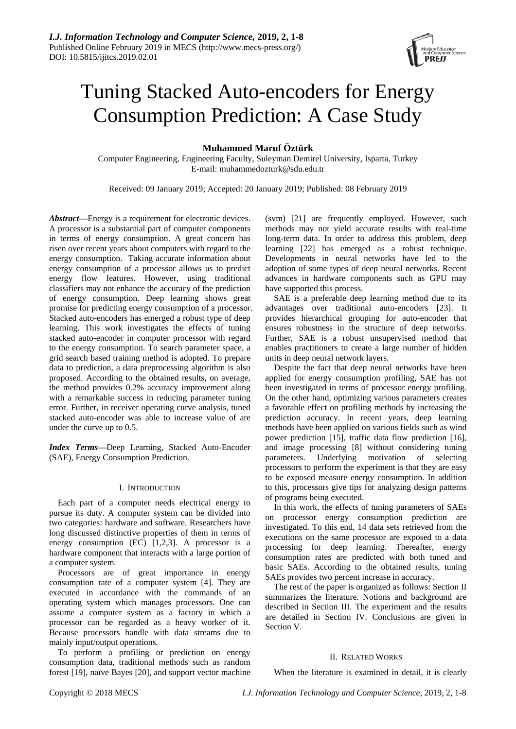

# Tuning Stacked Auto-encoders for Energy Consumption Prediction: A Case Study

# **Muhammed Maruf Öztürk**

Computer Engineering, Engineering Faculty, Suleyman Demirel University, Isparta, Turkey E-mail: muhammedozturk@sdu.edu.tr

Received: 09 January 2019; Accepted: 20 January 2019; Published: 08 February 2019

*Abstract***—**Energy is a requirement for electronic devices. A processor is a substantial part of computer components in terms of energy consumption. A great concern has risen over recent years about computers with regard to the energy consumption. Taking accurate information about energy consumption of a processor allows us to predict energy flow features. However, using traditional classifiers may not enhance the accuracy of the prediction of energy consumption. Deep learning shows great promise for predicting energy consumption of a processor. Stacked auto-encoders has emerged a robust type of deep learning. This work investigates the effects of tuning stacked auto-encoder in computer processor with regard to the energy consumption. To search parameter space, a grid search based training method is adopted. To prepare data to prediction, a data preprocessing algorithm is also proposed. According to the obtained results, on average, the method provides 0.2% accuracy improvement along with a remarkable success in reducing parameter tuning error. Further, in receiver operating curve analysis, tuned stacked auto-encoder was able to increase value of are under the curve up to 0.5.

*Index Terms***—**Deep Learning, Stacked Auto-Encoder (SAE), Energy Consumption Prediction.

# I. INTRODUCTION

Each part of a computer needs electrical energy to pursue its duty. A computer system can be divided into two categories: hardware and software. Researchers have long discussed distinctive properties of them in terms of energy consumption (EC) [1,2,3]. A processor is a hardware component that interacts with a large portion of a computer system.

Processors are of great importance in energy consumption rate of a computer system [4]. They are executed in accordance with the commands of an operating system which manages processors. One can assume a computer system as a factory in which a processor can be regarded as a heavy worker of it. Because processors handle with data streams due to mainly input/output operations.

To perform a profiling or prediction on energy consumption data, traditional methods such as random forest [19], na  $\ddot{v}$ e Bayes [20], and support vector machine (svm) [21] are frequently employed. However, such methods may not yield accurate results with real-time long-term data. In order to address this problem, deep learning [22] has emerged as a robust technique. Developments in neural networks have led to the adoption of some types of deep neural networks. Recent advances in hardware components such as GPU may have supported this process.

SAE is a preferable deep learning method due to its advantages over traditional auto-encoders [23]. It provides hierarchical grouping for auto-encoder that ensures robustness in the structure of deep networks. Further, SAE is a robust unsupervised method that enables practitioners to create a large number of hidden units in deep neural network layers.

Despite the fact that deep neural networks have been applied for energy consumption profiling, SAE has not been investigated in terms of processor energy profiling. On the other hand, optimizing various parameters creates a favorable effect on profiling methods by increasing the prediction accuracy. In recent years, deep learning methods have been applied on various fields such as wind power prediction [15], traffic data flow prediction [16], and image processing [8] without considering tuning parameters. Underlying motivation of selecting processors to perform the experiment is that they are easy to be exposed measure energy consumption. In addition to this, processors give tips for analyzing design patterns of programs being executed.

In this work, the effects of tuning parameters of SAEs on processor energy consumption prediction are investigated. To this end, 14 data sets retrieved from the executions on the same processor are exposed to a data processing for deep learning. Thereafter, energy consumption rates are predicted with both tuned and basic SAEs. According to the obtained results, tuning SAEs provides two percent increase in accuracy.

The rest of the paper is organized as follows: Section II summarizes the literature. Notions and background are described in Section III. The experiment and the results are detailed in Section IV. Conclusions are given in Section V.

# II. RELATED WORKS

When the literature is examined in detail, it is clearly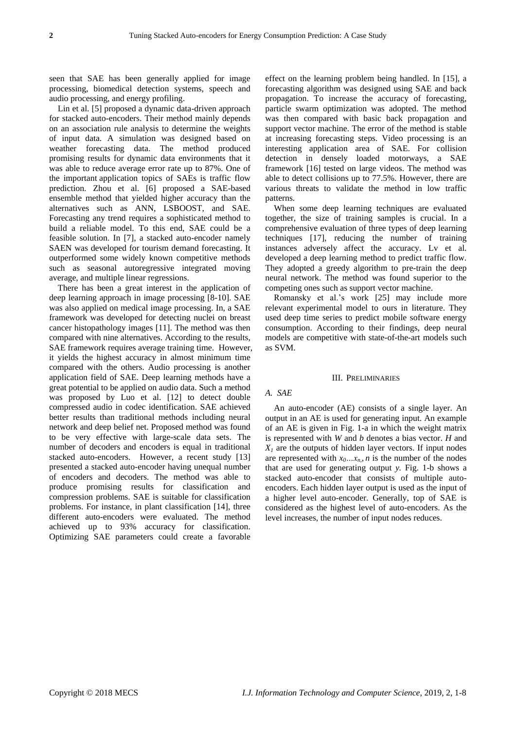seen that SAE has been generally applied for image processing, biomedical detection systems, speech and audio processing, and energy profiling.

Lin et al. [5] proposed a dynamic data-driven approach for stacked auto-encoders. Their method mainly depends on an association rule analysis to determine the weights of input data. A simulation was designed based on weather forecasting data. The method produced promising results for dynamic data environments that it was able to reduce average error rate up to 87%. One of the important application topics of SAEs is traffic flow prediction. Zhou et al. [6] proposed a SAE-based ensemble method that yielded higher accuracy than the alternatives such as ANN, LSBOOST, and SAE. Forecasting any trend requires a sophisticated method to build a reliable model. To this end, SAE could be a feasible solution. In [7], a stacked auto-encoder namely SAEN was developed for tourism demand forecasting. It outperformed some widely known competitive methods such as seasonal autoregressive integrated moving average, and multiple linear regressions.

There has been a great interest in the application of deep learning approach in image processing [8-10]. SAE was also applied on medical image processing. In, a SAE framework was developed for detecting nuclei on breast cancer histopathology images [11]. The method was then compared with nine alternatives. According to the results, SAE framework requires average training time. However, it yields the highest accuracy in almost minimum time compared with the others. Audio processing is another application field of SAE. Deep learning methods have a great potential to be applied on audio data. Such a method was proposed by Luo et al. [12] to detect double compressed audio in codec identification. SAE achieved better results than traditional methods including neural network and deep belief net. Proposed method was found to be very effective with large-scale data sets. The number of decoders and encoders is equal in traditional stacked auto-encoders. However, a recent study [13] presented a stacked auto-encoder having unequal number of encoders and decoders. The method was able to produce promising results for classification and compression problems. SAE is suitable for classification problems. For instance, in plant classification [14], three different auto-encoders were evaluated. The method achieved up to 93% accuracy for classification. Optimizing SAE parameters could create a favorable

effect on the learning problem being handled. In [15], a forecasting algorithm was designed using SAE and back propagation. To increase the accuracy of forecasting, particle swarm optimization was adopted. The method was then compared with basic back propagation and support vector machine. The error of the method is stable at increasing forecasting steps. Video processing is an interesting application area of SAE. For collision detection in densely loaded motorways, a SAE framework [16] tested on large videos. The method was able to detect collisions up to 77.5%. However, there are various threats to validate the method in low traffic patterns.

When some deep learning techniques are evaluated together, the size of training samples is crucial. In a comprehensive evaluation of three types of deep learning techniques [17], reducing the number of training instances adversely affect the accuracy. Lv et al. developed a deep learning method to predict traffic flow. They adopted a greedy algorithm to pre-train the deep neural network. The method was found superior to the competing ones such as support vector machine.

Romansky et al.'s work [25] may include more relevant experimental model to ours in literature. They used deep time series to predict mobile software energy consumption. According to their findings, deep neural models are competitive with state-of-the-art models such as SVM.

#### III. PRELIMINARIES

# *A. SAE*

An auto-encoder (AE) consists of a single layer. An output in an AE is used for generating input. An example of an AE is given in Fig. 1-a in which the weight matrix is represented with *W* and *b* denotes a bias vector. *H* and  $X_I$  are the outputs of hidden layer vectors. If input nodes are represented with  $x_0 \ldots x_n$ , *n* is the number of the nodes that are used for generating output *y.* Fig. 1-b shows a stacked auto-encoder that consists of multiple autoencoders. Each hidden layer output is used as the input of a higher level auto-encoder. Generally, top of SAE is considered as the highest level of auto-encoders. As the level increases, the number of input nodes reduces.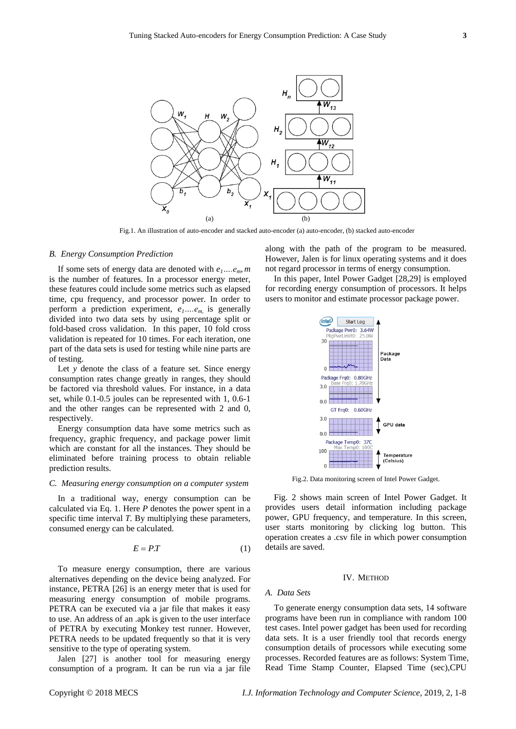

Fig.1. An illustration of auto-encoder and stacked auto-encoder (a) auto-encoder, (b) stacked auto-encoder

#### *B. Energy Consumption Prediction*

If some sets of energy data are denoted with  $e_1...e_m$ , *m* is the number of features. In a processor energy meter, these features could include some metrics such as elapsed time, cpu frequency, and processor power. In order to perform a prediction experiment,  $e_1 \dots e_m$  is generally divided into two data sets by using percentage split or fold-based cross validation. In this paper, 10 fold cross validation is repeated for 10 times. For each iteration, one part of the data sets is used for testing while nine parts are of testing.

Let *y* denote the class of a feature set. Since energy consumption rates change greatly in ranges, they should be factored via threshold values. For instance, in a data set, while 0.1-0.5 joules can be represented with 1, 0.6-1 and the other ranges can be represented with 2 and 0, respectively.

Energy consumption data have some metrics such as frequency, graphic frequency, and package power limit which are constant for all the instances. They should be eliminated before training process to obtain reliable prediction results.

#### *C. Measuring energy consumption on a computer system*

In a traditional way, energy consumption can be calculated via Eq. 1. Here *P* denotes the power spent in a specific time interval *T*. By multiplying these parameters, consumed energy can be calculated.

$$
E = PT \tag{1}
$$

To measure energy consumption, there are various alternatives depending on the device being analyzed. For instance, PETRA [26] is an energy meter that is used for measuring energy consumption of mobile programs. PETRA can be executed via a jar file that makes it easy to use. An address of an .apk is given to the user interface of PETRA by executing Monkey test runner. However, PETRA needs to be updated frequently so that it is very sensitive to the type of operating system.

Jalen [27] is another tool for measuring energy consumption of a program. It can be run via a jar file along with the path of the program to be measured. However, Jalen is for linux operating systems and it does not regard processor in terms of energy consumption.

In this paper, Intel Power Gadget [28,29] is employed for recording energy consumption of processors. It helps users to monitor and estimate processor package power.



Fig.2. Data monitoring screen of Intel Power Gadget.

Fig. 2 shows main screen of Intel Power Gadget. It provides users detail information including package power, GPU frequency, and temperature. In this screen, user starts monitoring by clicking log button. This operation creates a .csv file in which power consumption details are saved.

#### IV. METHOD

#### *A. Data Sets*

To generate energy consumption data sets, 14 software programs have been run in compliance with random 100 test cases. Intel power gadget has been used for recording data sets. It is a user friendly tool that records energy consumption details of processors while executing some processes. Recorded features are as follows: System Time, Read Time Stamp Counter, Elapsed Time (sec),CPU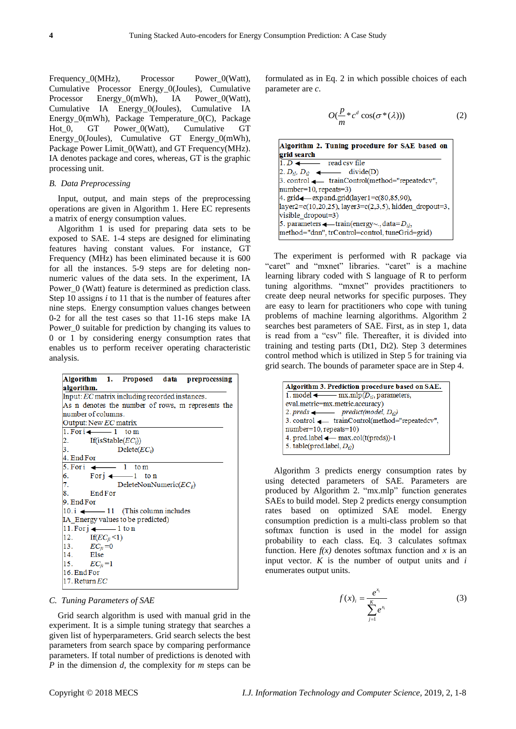Frequency\_0(MHz), Processor Power\_0(Watt), Cumulative Processor Energy\_0(Joules), Cumulative Processor Energy 0(mWh), IA Power 0(Watt), Cumulative IA Energy\_0(Joules), Cumulative IA Energy\_0(mWh), Package Temperature\_0(C), Package Hot 0, GT Power 0(Watt), Cumulative GT Energy\_0(Joules), Cumulative GT Energy\_0(mWh), Package Power Limit  $0$ (Watt), and GT Frequency(MHz). IA denotes package and cores, whereas, GT is the graphic processing unit.

## *B. Data Preprocessing*

Input, output, and main steps of the preprocessing operations are given in Algorithm 1. Here EC represents a matrix of energy consumption values.

Algorithm 1 is used for preparing data sets to be exposed to SAE. 1-4 steps are designed for eliminating features having constant values. For instance, GT Frequency (MHz) has been eliminated because it is 600 for all the instances. 5-9 steps are for deleting nonnumeric values of the data sets. In the experiment, IA Power  $0$  (Watt) feature is determined as prediction class. Step 10 assigns *i* to 11 that is the number of features after nine steps. Energy consumption values changes between 0-2 for all the test cases so that 11-16 steps make IA Power 0 suitable for prediction by changing its values to 0 or 1 by considering energy consumption rates that enables us to perform receiver operating characteristic analysis.

| Algorithm 1. Proposed data preprocessing          |  |
|---------------------------------------------------|--|
| algorithm.                                        |  |
| Input: EC matrix including recorded instances.    |  |
| As n denotes the number of rows, m represents the |  |
| number of columns.                                |  |
| Output: New EC matrix                             |  |
| $1. For i \leftarrow -1$ to m                     |  |
| $\frac{2}{3}$<br>If(isStable( $EC_i$ ))           |  |
| $Delete(EC_i)$                                    |  |
| 4. End For                                        |  |
| 5. For $\leftarrow$ 1 to m                        |  |
| For $j \leftarrow 1$ to n                         |  |
| 7.<br>DeleteNonNumeric $(EC_{ii})$                |  |
| 8.<br>End For                                     |  |
| 9. End For                                        |  |
| 10. i $\leftarrow$ 11 (This column includes       |  |
| IA_Energy values to be predicted)                 |  |
| $11.Forj$ $\longrightarrow$ 1 to n                |  |
| $12. \quad \text{If}(EC_{ji} < 1)$                |  |
| 13. $EC_{ji} = 0$                                 |  |
| 14. Else                                          |  |
| $15.$ $EC_{ii} = 1$                               |  |
| 16. End For                                       |  |
| 17. Return $EC$                                   |  |

## *C. Tuning Parameters of SAE*

Grid search algorithm is used with manual grid in the experiment. It is a simple tuning strategy that searches a given list of hyperparameters. Grid search selects the best parameters from search space by comparing performance parameters. If total number of predictions is denoted with *P* in the dimension *d,* the complexity for *m* steps can be

formulated as in Eq. 2 in which possible choices of each parameter are *c*.

$$
O(\frac{p}{m} * c^d \cos(\sigma^*(\lambda)))
$$
 (2)

| Algorithm 2. Tuning procedure for SAE based on                  |  |  |  |
|-----------------------------------------------------------------|--|--|--|
| grid search                                                     |  |  |  |
| $1. D \leftarrow$ read csv file                                 |  |  |  |
| 2. $D_{th}$ , $D_{t2}$ $\longrightarrow$ divide(D)              |  |  |  |
| 3. control < trainControl(method="repeatedcv",                  |  |  |  |
| $number=10$ , repeats=3)                                        |  |  |  |
| 4. $grid$ = expand.grid(layer 1= $c(80,85,90)$ ),               |  |  |  |
| $[layer2=c(10,20,25), layer3=c(2,3,5), hidden dropout=3,$       |  |  |  |
| $visible dropout=3)$                                            |  |  |  |
| 5. parameters $\longleftarrow$ train(energy~., data= $D_{ij}$ , |  |  |  |
| method="dnn", trControl=control, tuneGrid=grid)                 |  |  |  |

The experiment is performed with R package via "caret" and "mxnet" libraries. "caret" is a machine learning library coded with S language of R to perform tuning algorithms. "mxnet" provides practitioners to create deep neural networks for specific purposes. They are easy to learn for practitioners who cope with tuning problems of machine learning algorithms. Algorithm 2 searches best parameters of SAE. First, as in step 1, data is read from a "csv" file. Thereafter, it is divided into training and testing parts (Dt1, Dt2). Step 3 determines control method which is utilized in Step 5 for training via grid search. The bounds of parameter space are in Step 4.

| Algorithm 3. Prediction procedure based on SAE.          |  |  |
|----------------------------------------------------------|--|--|
| 1. model $\longleftarrow$ mx.mlp( $D_{tl}$ , parameters, |  |  |
| eval.metric=mx.metric.accuracy)                          |  |  |
| 2. preds $\longleftarrow$ predict(model, $D_{t2}$ )      |  |  |
| 3. control < trainControl(method="repeatedcv",           |  |  |
| $number=10$ , repeats=10)                                |  |  |
| 4. pred.label $\longleftarrow$ max.col(t(preds))-1       |  |  |
| 5. table(pred.label, $D_{\theta}$ )                      |  |  |
|                                                          |  |  |

Algorithm 3 predicts energy consumption rates by using detected parameters of SAE. Parameters are produced by Algorithm 2. "mx.mlp" function generates SAEs to build model. Step 2 predicts energy consumption rates based on optimized SAE model. Energy consumption prediction is a multi-class problem so that softmax function is used in the model for assign probability to each class. Eq. 3 calculates softmax function. Here  $f(x)$  denotes softmax function and x is an input vector. *K* is the number of output units and *i*  enumerates output units.

$$
f(x)_{i} = \frac{e^{x_{i}}}{\sum_{j=1}^{K} e^{x_{i}}}
$$
 (3)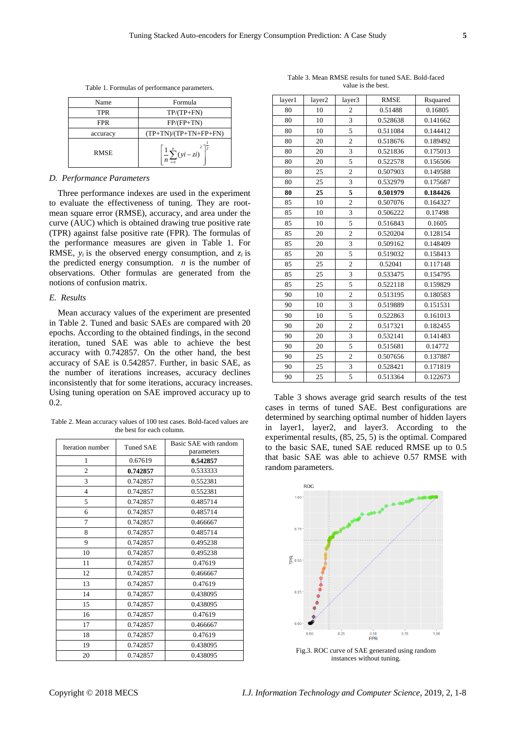| Name        | Formula                           |  |
|-------------|-----------------------------------|--|
| TPR         | $TP/(TP+FN)$                      |  |
| FPR         | $FP/(FP+TN)$                      |  |
| accuracy    | $(TP+TN)/(TP+TN+FP+FN)$           |  |
| <b>RMSE</b> | $\frac{1}{n}\sum_{i=1}^n (yi-zi)$ |  |

Table 1. Formulas of performance parameters.

#### *D. Performance Parameters*

Three performance indexes are used in the experiment to evaluate the effectiveness of tuning. They are rootmean square error (RMSE), accuracy, and area under the curve (AUC) which is obtained drawing true positive rate (TPR) against false positive rate (FPR). The formulas of the performance measures are given in Table 1. For RMSE,  $y_i$  is the observed energy consumption, and  $z_i$  is the predicted energy consumption. *n* is the number of observations. Other formulas are generated from the notions of confusion matrix.

# *E. Results*

Mean accuracy values of the experiment are presented in Table 2. Tuned and basic SAEs are compared with 20 epochs. According to the obtained findings, in the second iteration, tuned SAE was able to achieve the best accuracy with 0.742857. On the other hand, the best accuracy of SAE is 0.542857. Further, in basic SAE, as the number of iterations increases, accuracy declines inconsistently that for some iterations, accuracy increases. Using tuning operation on SAE improved accuracy up to 0.2.

Table 2. Mean accuracy values of 100 test cases. Bold-faced values are the best for each column.

| Iteration number | <b>Tuned SAE</b> | Basic SAE with random |
|------------------|------------------|-----------------------|
|                  |                  | parameters            |
| 1                | 0.67619          | 0.542857              |
| $\overline{c}$   | 0.742857         | 0.533333              |
| 3                | 0.742857         | 0.552381              |
| $\overline{4}$   | 0.742857         | 0.552381              |
| 5                | 0.742857         | 0.485714              |
| 6                | 0.742857         | 0.485714              |
| 7                | 0.742857         | 0.466667              |
| 8                | 0.742857         | 0.485714              |
| 9                | 0.742857         | 0.495238              |
| 10               | 0.742857         | 0.495238              |
| 11               | 0.742857         | 0.47619               |
| 12               | 0.742857         | 0.466667              |
| 13               | 0.742857         | 0.47619               |
| 14               | 0.742857         | 0.438095              |
| 15               | 0.742857         | 0.438095              |
| 16               | 0.742857         | 0.47619               |
| 17               | 0.742857         | 0.466667              |
| 18               | 0.742857         | 0.47619               |
| 19               | 0.742857         | 0.438095              |
| 20               | 0.742857         | 0.438095              |

| layer1 | layer2 | layer3                  | <b>RMSE</b> | Rsquared |
|--------|--------|-------------------------|-------------|----------|
| 80     | 10     | $\overline{c}$          | 0.51488     | 0.16805  |
| 80     | 10     | $\overline{\mathbf{3}}$ | 0.528638    | 0.141662 |
| 80     | 10     | 5                       | 0.511084    | 0.144412 |
| 80     | 20     | $\overline{c}$          | 0.518676    | 0.189492 |
| 80     | 20     | $\overline{3}$          | 0.521836    | 0.175013 |
| 80     | 20     | 5                       | 0.522578    | 0.156506 |
| 80     | 25     | $\overline{c}$          | 0.507903    | 0.149588 |
| 80     | 25     | 3                       | 0.532979    | 0.175687 |
| 80     | 25     | 5                       | 0.501979    | 0.184426 |
| 85     | 10     | $\overline{c}$          | 0.507076    | 0.164327 |
| 85     | 10     | 3                       | 0.506222    | 0.17498  |
| 85     | 10     | 5                       | 0.516843    | 0.1605   |
| 85     | 20     | $\overline{c}$          | 0.520204    | 0.128154 |
| 85     | 20     | 3                       | 0.509162    | 0.148409 |
| 85     | 20     | 5                       | 0.519032    | 0.158413 |
| 85     | 25     | $\overline{c}$          | 0.52041     | 0.117148 |
| 85     | 25     | 3                       | 0.533475    | 0.154795 |
| 85     | 25     | 5                       | 0.522118    | 0.159829 |
| 90     | 10     | $\overline{2}$          | 0.513195    | 0.180583 |
| 90     | 10     | 3                       | 0.519889    | 0.151531 |
| 90     | 10     | 5                       | 0.522863    | 0.161013 |
| 90     | 20     | $\overline{c}$          | 0.517321    | 0.182455 |
| 90     | 20     | 3                       | 0.532141    | 0.141483 |
| 90     | 20     | 5                       | 0.515681    | 0.14772  |
| 90     | 25     | $\overline{c}$          | 0.507656    | 0.137887 |
| 90     | 25     | 3                       | 0.528421    | 0.171819 |
| 90     | 25     | 5                       | 0.513364    | 0.122673 |

Table 3. Mean RMSE results for tuned SAE. Bold-faced value is the best.

Table 3 shows average grid search results of the test cases in terms of tuned SAE. Best configurations are determined by searching optimal number of hidden layers in layer1, layer2, and layer3. According to the experimental results, (85, 25, 5) is the optimal. Compared to the basic SAE, tuned SAE reduced RMSE up to 0.5 that basic SAE was able to achieve 0.57 RMSE with random parameters.



Fig.3. ROC curve of SAE generated using random instances without tuning.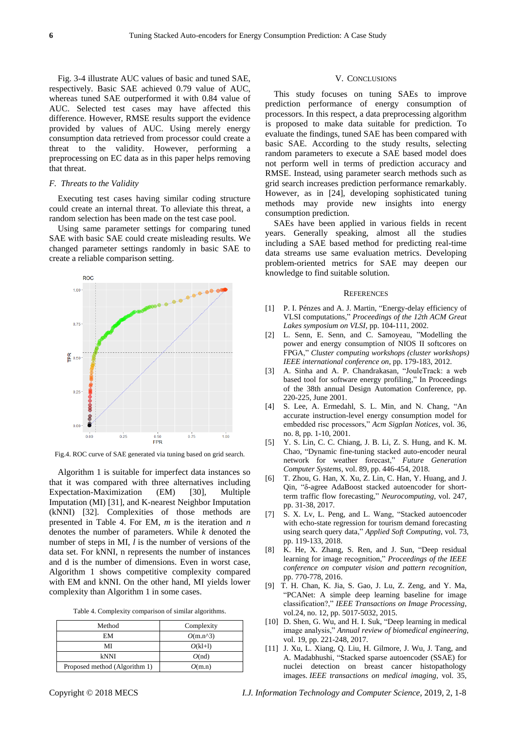Fig. 3-4 illustrate AUC values of basic and tuned SAE, respectively. Basic SAE achieved 0.79 value of AUC, whereas tuned SAE outperformed it with 0.84 value of AUC. Selected test cases may have affected this difference. However, RMSE results support the evidence provided by values of AUC. Using merely energy consumption data retrieved from processor could create a threat to the validity. However, performing a preprocessing on EC data as in this paper helps removing that threat.

#### *F. Threats to the Validity*

Executing test cases having similar coding structure could create an internal threat. To alleviate this threat, a random selection has been made on the test case pool.

Using same parameter settings for comparing tuned SAE with basic SAE could create misleading results. We changed parameter settings randomly in basic SAE to create a reliable comparison setting.



Fig.4. ROC curve of SAE generated via tuning based on grid search.

Algorithm 1 is suitable for imperfect data instances so that it was compared with three alternatives including Expectation-Maximization (EM) [30], Multiple Imputation (MI) [31], and K-nearest Neighbor Imputation (kNNI) [32]. Complexities of those methods are presented in Table 4. For EM, *m* is the iteration and *n* denotes the number of parameters. While *k* denoted the number of steps in MI, *l* is the number of versions of the data set. For kNNI, n represents the number of instances and d is the number of dimensions. Even in worst case, Algorithm 1 shows competitive complexity compared with EM and kNNI. On the other hand, MI yields lower complexity than Algorithm 1 in some cases.

|  | Table 4. Complexity comparison of similar algorithms. |  |
|--|-------------------------------------------------------|--|

| Method                        | Complexity   |
|-------------------------------|--------------|
| EМ                            | $O(m.n^{3})$ |
| MI                            | $O(kl+1)$    |
| kNNI                          | O(nd)        |
| Proposed method (Algorithm 1) | O(m.n)       |

#### V. CONCLUSIONS

This study focuses on tuning SAEs to improve prediction performance of energy consumption of processors. In this respect, a data preprocessing algorithm is proposed to make data suitable for prediction. To evaluate the findings, tuned SAE has been compared with basic SAE. According to the study results, selecting random parameters to execute a SAE based model does not perform well in terms of prediction accuracy and RMSE. Instead, using parameter search methods such as grid search increases prediction performance remarkably. However, as in [24], developing sophisticated tuning methods may provide new insights into energy consumption prediction.

SAEs have been applied in various fields in recent years. Generally speaking, almost all the studies including a SAE based method for predicting real-time data streams use same evaluation metrics. Developing problem-oriented metrics for SAE may deepen our knowledge to find suitable solution.

#### **REFERENCES**

- [1] P. I. Pénzes and A. J. Martin, "Energy-delay efficiency of VLSI computations," *Proceedings of the 12th ACM Great Lakes symposium on VLSI*, pp. 104-111, 2002.
- [2] L. Senn, E. Senn, and C. Samoyeau, "Modelling the power and energy consumption of NIOS II softcores on FPGA," *Cluster computing workshops (cluster workshops) IEEE international conference on*, pp. 179-183, 2012.
- [3] A. Sinha and A. P. Chandrakasan, "JouleTrack: a web based tool for software energy profiling," In Proceedings of the 38th annual Design Automation Conference, pp. 220-225, June 2001.
- [4] S. Lee, A. Ermedahl, S. L. Min, and N. Chang, "An accurate instruction-level energy consumption model for embedded risc processors," *Acm Sigplan Notices*, vol. 36, no. 8, pp. 1-10, 2001.
- [5] Y. S. Lin, C. C. Chiang, J. B. Li, Z. S. Hung, and K. M. Chao, "Dynamic fine-tuning stacked auto-encoder neural network for weather forecast," *Future Generation Computer Systems*, vol. 89, pp. 446-454, 2018.
- [6] T. Zhou, G. Han, X. Xu, Z. Lin, C. Han, Y. Huang, and J. Qin, "δ-agree AdaBoost stacked autoencoder for shortterm traffic flow forecasting," *Neurocomputing*, vol. 247, pp. 31-38, 2017.
- [7] S. X. Lv, L. Peng, and L. Wang, "Stacked autoencoder with echo-state regression for tourism demand forecasting using search query data," *Applied Soft Computing*, vol. 73, pp. 119-133, 2018.
- [8] K. He, X. Zhang, S. Ren, and J. Sun, "Deep residual learning for image recognition," *Proceedings of the IEEE conference on computer vision and pattern recognition*, pp. 770-778, 2016.
- [9] T. H. Chan, K. Jia, S. Gao, J. Lu, Z. Zeng, and Y. Ma, "PCANet: A simple deep learning baseline for image classification?," *IEEE Transactions on Image Processing*, vol.24, no. 12, pp. 5017-5032, 2015.
- [10] D. Shen, G. Wu, and H. I. Suk, "Deep learning in medical image analysis," *Annual review of biomedical engineering*, vol. 19, pp. 221-248, 2017.
- [11] J. Xu, L. Xiang, Q. Liu, H. Gilmore, J. Wu, J. Tang, and A. Madabhushi, "Stacked sparse autoencoder (SSAE) for nuclei detection on breast cancer histopathology images. *IEEE transactions on medical imaging*, vol. 35,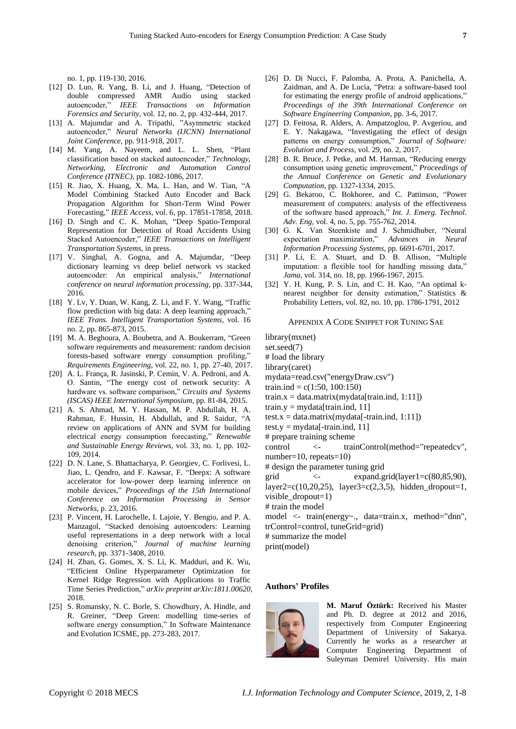no. 1, pp. 119-130, 2016.

- [12] D. Luo, R. Yang, B. Li, and J. Huang, "Detection of double compressed AMR Audio using stacked autoencoder," *IEEE Transactions on Information Forensics and Security*, vol. 12, no. 2, pp. 432-444, 2017.
- [13] A. Majumdar and A. Tripathi, "Asymmetric stacked autoencoder," *Neural Networks (IJCNN) International Joint Conference,* pp. 911-918, 2017.
- [14] M. Yang, A. Nayeem, and L. L. Shen, "Plant classification based on stacked autoencoder," *Technology, Networking, Electronic and Automation Control Conference (ITNEC)*, pp. 1082-1086, 2017.
- [15] R. Jiao, X. Huang, X. Ma, L. Han, and W. Tian, "A Model Combining Stacked Auto Encoder and Back Propagation Algorithm for Short-Term Wind Power Forecasting," *IEEE Access*, vol. 6, pp. 17851-17858, 2018.
- [16] D. Singh and C. K. Mohan, "Deep Spatio-Temporal Representation for Detection of Road Accidents Using Stacked Autoencoder," *IEEE Transactions on Intelligent Transportation Systems*, in press.
- [17] V. Singhal, A. Gogna, and A. Majumdar, "Deep dictionary learning vs deep belief network vs stacked autoencoder: An empirical analysis," *International conference on neural information processing*, pp. 337-344, 2016.
- [18] Y. Lv, Y. Duan, W. Kang, Z. Li, and F. Y. Wang, "Traffic flow prediction with big data: A deep learning approach," *IEEE Trans. Intelligent Transportation Systems*, vol. 16 no. 2, pp. 865-873, 2015.
- [19] M. A. Beghoura, A. Boubetra, and A. Boukerram, "Green software requirements and measurement: random decision forests-based software energy consumption profiling," *Requirements Engineering*, vol. 22, no. 1, pp. 27-40, 2017.
- [20] A. L. França, R. Jasinski, P. Cemin, V. A. Pedroni, and A. O. Santin, "The energy cost of network security: A hardware vs. software comparison," *Circuits and Systems (ISCAS) IEEE International Symposium*, pp. 81-84, 2015.
- [21] A. S. Ahmad, M. Y. Hassan, M. P. Abdullah, H. A. Rahman, F. Hussin, H. Abdullah, and R. Saidur, "A review on applications of ANN and SVM for building electrical energy consumption forecasting," *Renewable and Sustainable Energy Reviews*, vol. 33, no. 1, pp. 102- 109, 2014.
- [22] D. N. Lane, S. Bhattacharya, P. Georgiev, C. Forlivesi, L. Jiao, L. Qendro, and F. Kawsar, F. "Deepx: A software accelerator for low-power deep learning inference on mobile devices," *Proceedings of the 15th International Conference on Information Processing in Sensor Networks*, p. 23, 2016.
- [23] P. Vincent, H. Larochelle, I. Lajoie, Y. Bengio, and P. A. Manzagol, "Stacked denoising autoencoders: Learning useful representations in a deep network with a local denoising criterion," *Journal of machine learning research*, pp. 3371-3408, 2010.
- [24] H. Zhan, G. Gomes, X. S. Li, K. Madduri, and K. Wu, "Efficient Online Hyperparameter Optimization for Kernel Ridge Regression with Applications to Traffic Time Series Prediction," *arXiv preprint arXiv:1811.00620*, 2018.
- [25] S. Romansky, N. C. Borle, S. Chowdhury, A. Hindle, and R. Greiner, "Deep Green: modelling time-series of software energy consumption," In Software Maintenance and Evolution ICSME, pp. 273-283, 2017.
- [26] D. Di Nucci, F. Palomba, A. Prota, A. Panichella, A. Zaidman, and A. De Lucia, "Petra: a software-based tool for estimating the energy profile of android applications," *Proceedings of the 39th International Conference on Software Engineering Companion*, pp. 3-6, 2017.
- [27] D. Feitosa, R. Alders, A. Ampatzoglou, P. Avgeriou, and E. Y. Nakagawa, "Investigating the effect of design patterns on energy consumption," *Journal of Software: Evolution and Process*, vol. 29, no. 2, 2017.
- [28] B. R. Bruce, J. Petke, and M. Harman, "Reducing energy consumption using genetic improvement," *Proceedings of the Annual Conference on Genetic and Evolutionary Computation*, pp. 1327-1334, 2015.
- [29] G. Bekaroo, C. Bokhoree, and C. Pattinson, "Power measurement of computers: analysis of the effectiveness of the software based approach," *Int. J. Emerg. Technol*. *Adv. Eng*, vol. 4, no. 5, pp. 755-762, 2014.
- [30] G. K. Van Steenkiste and J. Schmidhuber, "Neural expectation maximization," *Advances in Neural Information Processing Systems*, pp. 6691-6701, 2017.
- [31] P. Li, E. A. Stuart, and D. B. Allison, "Multiple imputation: a flexible tool for handling missing data," *Jama*, vol. 314, no. 18, pp. 1966-1967, 2015.
- [32] Y. H. Kung, P. S. Lin, and C. H. Kao, "An optimal knearest neighbor for density estimation," Statistics & Probability Letters, vol. 82, no. 10, pp. 1786-1791, 2012

#### APPENDIX A CODE SNIPPET FOR TUNING SAE

library(mxnet) set.seed(7) # load the library library(caret) mydata=read.csv("energyDraw.csv") train.ind =  $c(1:50, 100:150)$  $train.x = data.matrix(mydata[train.info, 1:11])$ train.y = mydata[train.ind, 11] test.x = data.matrix(mydata[-train.ind, 1:11]) test.y = mydata[-train.ind, 11] # prepare training scheme control <- trainControl(method="repeatedcv", number=10, repeats=10) # design the parameter tuning grid grid  $\langle$ - expand.grid(layer1=c(80,85,90), layer2=c(10,20,25), layer3=c(2,3,5), hidden\_dropout=1, visible\_dropout=1) # train the model model <- train(energy~., data=train.x, method="dnn", trControl=control, tuneGrid=grid) # summarize the model print(model)

# **Authors' Profiles**



**M. Maruf Öztürk:** Received his Master and Ph. D. degree at 2012 and 2016, respectively from Computer Engineering Department of University of Sakarya. Currently he works as a researcher at Computer Engineering Department of Suleyman Demirel University. His main